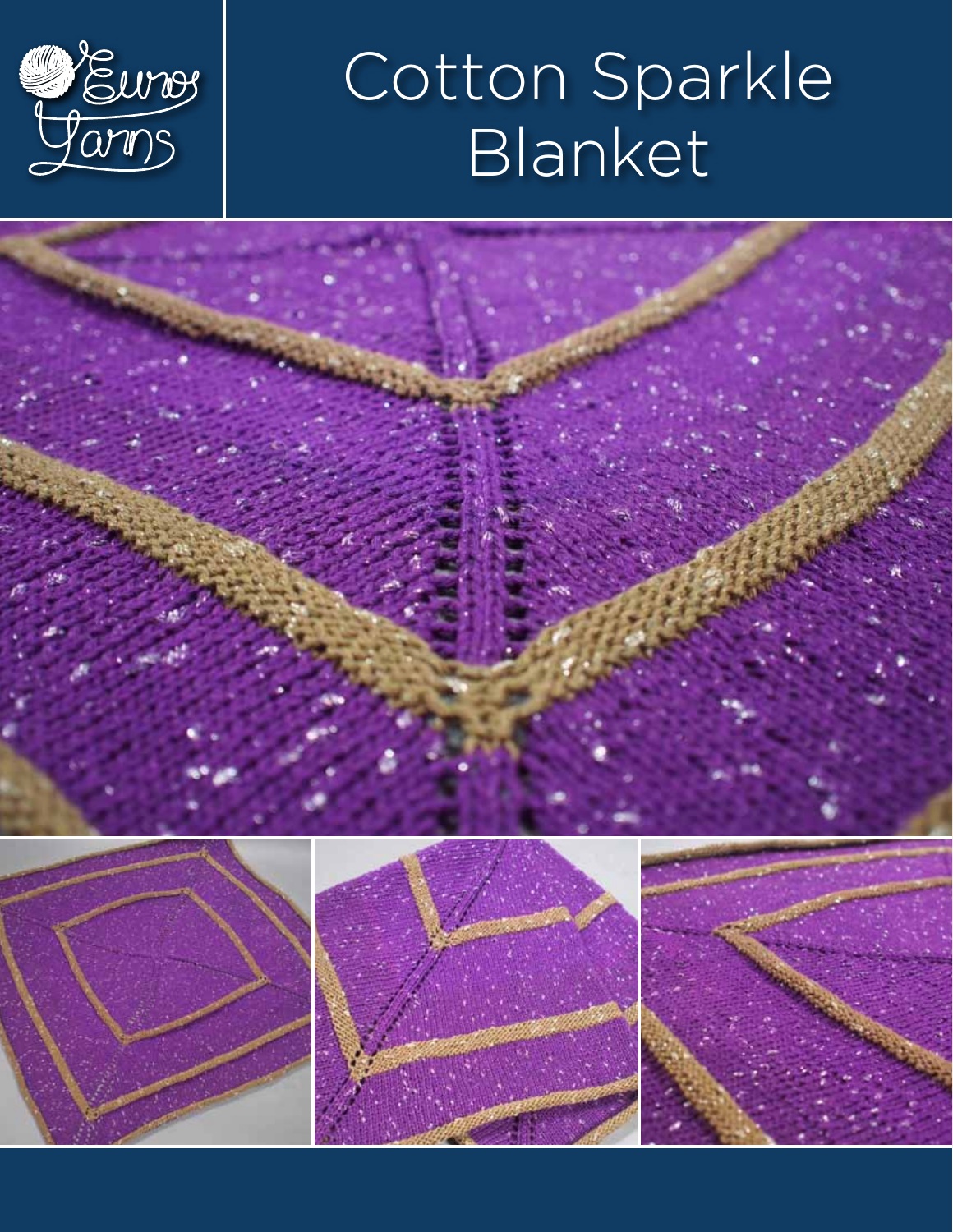

# Cotton Sparkle Blanket